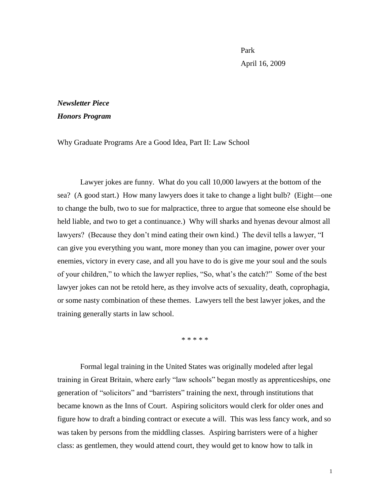Park April 16, 2009

## *Newsletter Piece Honors Program*

Why Graduate Programs Are a Good Idea, Part II: Law School

Lawyer jokes are funny. What do you call 10,000 lawyers at the bottom of the sea? (A good start.) How many lawyers does it take to change a light bulb? (Eight—one to change the bulb, two to sue for malpractice, three to argue that someone else should be held liable, and two to get a continuance.) Why will sharks and hyenas devour almost all lawyers? (Because they don't mind eating their own kind.) The devil tells a lawyer, "I can give you everything you want, more money than you can imagine, power over your enemies, victory in every case, and all you have to do is give me your soul and the souls of your children," to which the lawyer replies, "So, what's the catch?" Some of the best lawyer jokes can not be retold here, as they involve acts of sexuality, death, coprophagia, or some nasty combination of these themes. Lawyers tell the best lawyer jokes, and the training generally starts in law school.

\* \* \* \* \*

Formal legal training in the United States was originally modeled after legal training in Great Britain, where early "law schools" began mostly as apprenticeships, one generation of "solicitors" and "barristers" training the next, through institutions that became known as the Inns of Court. Aspiring solicitors would clerk for older ones and figure how to draft a binding contract or execute a will. This was less fancy work, and so was taken by persons from the middling classes. Aspiring barristers were of a higher class: as gentlemen, they would attend court, they would get to know how to talk in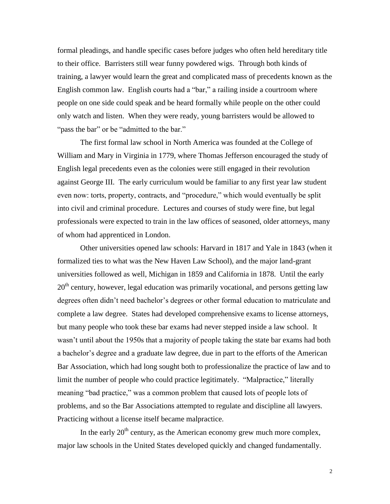formal pleadings, and handle specific cases before judges who often held hereditary title to their office. Barristers still wear funny powdered wigs. Through both kinds of training, a lawyer would learn the great and complicated mass of precedents known as the English common law. English courts had a "bar," a railing inside a courtroom where people on one side could speak and be heard formally while people on the other could only watch and listen. When they were ready, young barristers would be allowed to "pass the bar" or be "admitted to the bar."

The first formal law school in North America was founded at the College of William and Mary in Virginia in 1779, where Thomas Jefferson encouraged the study of English legal precedents even as the colonies were still engaged in their revolution against George III. The early curriculum would be familiar to any first year law student even now: torts, property, contracts, and "procedure," which would eventually be split into civil and criminal procedure. Lectures and courses of study were fine, but legal professionals were expected to train in the law offices of seasoned, older attorneys, many of whom had apprenticed in London.

Other universities opened law schools: Harvard in 1817 and Yale in 1843 (when it formalized ties to what was the New Haven Law School), and the major land-grant universities followed as well, Michigan in 1859 and California in 1878. Until the early  $20<sup>th</sup>$  century, however, legal education was primarily vocational, and persons getting law degrees often didn't need bachelor's degrees or other formal education to matriculate and complete a law degree. States had developed comprehensive exams to license attorneys, but many people who took these bar exams had never stepped inside a law school. It wasn't until about the 1950s that a majority of people taking the state bar exams had both a bachelor's degree and a graduate law degree, due in part to the efforts of the American Bar Association, which had long sought both to professionalize the practice of law and to limit the number of people who could practice legitimately. "Malpractice," literally meaning "bad practice," was a common problem that caused lots of people lots of problems, and so the Bar Associations attempted to regulate and discipline all lawyers. Practicing without a license itself became malpractice.

In the early  $20<sup>th</sup>$  century, as the American economy grew much more complex, major law schools in the United States developed quickly and changed fundamentally.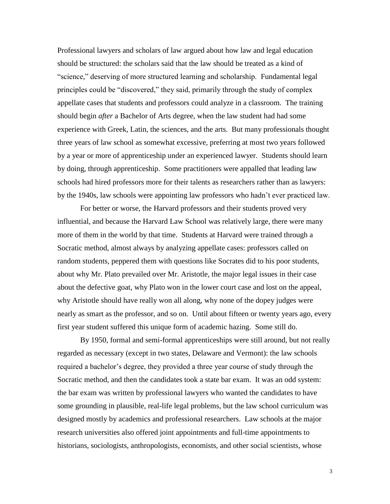Professional lawyers and scholars of law argued about how law and legal education should be structured: the scholars said that the law should be treated as a kind of "science," deserving of more structured learning and scholarship. Fundamental legal principles could be "discovered," they said, primarily through the study of complex appellate cases that students and professors could analyze in a classroom. The training should begin *after* a Bachelor of Arts degree, when the law student had had some experience with Greek, Latin, the sciences, and the arts. But many professionals thought three years of law school as somewhat excessive, preferring at most two years followed by a year or more of apprenticeship under an experienced lawyer. Students should learn by doing, through apprenticeship. Some practitioners were appalled that leading law schools had hired professors more for their talents as researchers rather than as lawyers: by the 1940s, law schools were appointing law professors who hadn't ever practiced law.

For better or worse, the Harvard professors and their students proved very influential, and because the Harvard Law School was relatively large, there were many more of them in the world by that time. Students at Harvard were trained through a Socratic method, almost always by analyzing appellate cases: professors called on random students, peppered them with questions like Socrates did to his poor students, about why Mr. Plato prevailed over Mr. Aristotle, the major legal issues in their case about the defective goat, why Plato won in the lower court case and lost on the appeal, why Aristotle should have really won all along, why none of the dopey judges were nearly as smart as the professor, and so on. Until about fifteen or twenty years ago, every first year student suffered this unique form of academic hazing. Some still do.

By 1950, formal and semi-formal apprenticeships were still around, but not really regarded as necessary (except in two states, Delaware and Vermont): the law schools required a bachelor's degree, they provided a three year course of study through the Socratic method, and then the candidates took a state bar exam. It was an odd system: the bar exam was written by professional lawyers who wanted the candidates to have some grounding in plausible, real-life legal problems, but the law school curriculum was designed mostly by academics and professional researchers. Law schools at the major research universities also offered joint appointments and full-time appointments to historians, sociologists, anthropologists, economists, and other social scientists, whose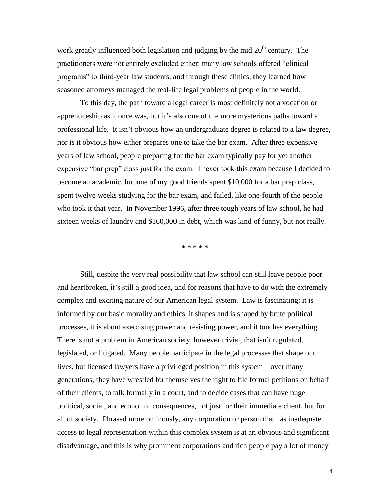work greatly influenced both legislation and judging by the mid  $20<sup>th</sup>$  century. The practitioners were not entirely excluded either: many law schools offered "clinical programs" to third-year law students, and through these clinics, they learned how seasoned attorneys managed the real-life legal problems of people in the world.

To this day, the path toward a legal career is most definitely not a vocation or apprenticeship as it once was, but it's also one of the more mysterious paths toward a professional life. It isn't obvious how an undergraduate degree is related to a law degree, nor is it obvious how either prepares one to take the bar exam. After three expensive years of law school, people preparing for the bar exam typically pay for yet another expensive "bar prep" class just for the exam. I never took this exam because I decided to become an academic, but one of my good friends spent \$10,000 for a bar prep class, spent twelve weeks studying for the bar exam, and failed, like one-fourth of the people who took it that year. In November 1996, after three tough years of law school, he had sixteen weeks of laundry and \$160,000 in debt, which was kind of funny, but not really.

\* \* \* \* \*

Still, despite the very real possibility that law school can still leave people poor and heartbroken, it's still a good idea, and for reasons that have to do with the extremely complex and exciting nature of our American legal system. Law is fascinating: it is informed by our basic morality and ethics, it shapes and is shaped by brute political processes, it is about exercising power and resisting power, and it touches everything. There is not a problem in American society, however trivial, that isn't regulated, legislated, or litigated. Many people participate in the legal processes that shape our lives, but licensed lawyers have a privileged position in this system—over many generations, they have wrestled for themselves the right to file formal petitions on behalf of their clients, to talk formally in a court, and to decide cases that can have huge political, social, and economic consequences, not just for their immediate client, but for all of society. Phrased more ominously, any corporation or person that has inadequate access to legal representation within this complex system is at an obvious and significant disadvantage, and this is why prominent corporations and rich people pay a lot of money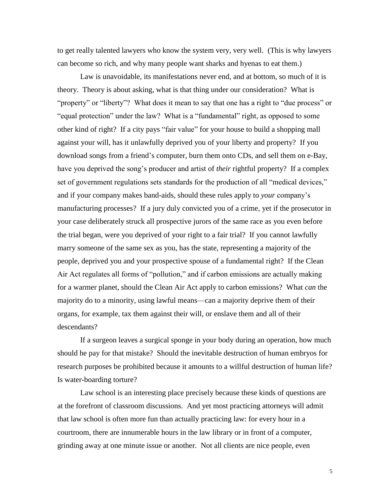to get really talented lawyers who know the system very, very well. (This is why lawyers can become so rich, and why many people want sharks and hyenas to eat them.)

Law is unavoidable, its manifestations never end, and at bottom, so much of it is theory. Theory is about asking, what is that thing under our consideration? What is "property" or "liberty"? What does it mean to say that one has a right to "due process" or "equal protection" under the law? What is a "fundamental" right, as opposed to some other kind of right? If a city pays "fair value" for your house to build a shopping mall against your will, has it unlawfully deprived you of your liberty and property? If you download songs from a friend's computer, burn them onto CDs, and sell them on e-Bay, have you deprived the song's producer and artist of *their* rightful property? If a complex set of government regulations sets standards for the production of all "medical devices," and if your company makes band-aids, should these rules apply to *your* company's manufacturing processes? If a jury duly convicted you of a crime, yet if the prosecutor in your case deliberately struck all prospective jurors of the same race as you even before the trial began, were you deprived of your right to a fair trial? If you cannot lawfully marry someone of the same sex as you, has the state, representing a majority of the people, deprived you and your prospective spouse of a fundamental right? If the Clean Air Act regulates all forms of "pollution," and if carbon emissions are actually making for a warmer planet, should the Clean Air Act apply to carbon emissions? What *can* the majority do to a minority, using lawful means—can a majority deprive them of their organs, for example, tax them against their will, or enslave them and all of their descendants?

If a surgeon leaves a surgical sponge in your body during an operation, how much should he pay for that mistake? Should the inevitable destruction of human embryos for research purposes be prohibited because it amounts to a willful destruction of human life? Is water-boarding torture?

Law school is an interesting place precisely because these kinds of questions are at the forefront of classroom discussions. And yet most practicing attorneys will admit that law school is often more fun than actually practicing law: for every hour in a courtroom, there are innumerable hours in the law library or in front of a computer, grinding away at one minute issue or another. Not all clients are nice people, even